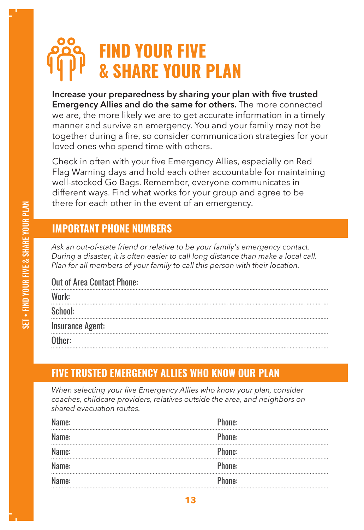# **FIND YOUR FIVE & SHARE YOUR PLAN**

Increase your preparedness by sharing your plan with five trusted **Emergency Allies and do the same for others.** The more connected we are, the more likely we are to get accurate information in a timely manner and survive an emergency. You and your family may not be together during a fire, so consider communication strategies for your loved ones who spend time with others.

Check in often with your five Emergency Allies, especially on Red Flag Warning days and hold each other accountable for maintaining well-stocked Go Bags. Remember, everyone communicates in different ways. Find what works for your group and agree to be there for each other in the event of an emergency.

#### **IMPORTANT PHONE NUMBERS**

*Ask an out-of-state friend or relative to be your family's emergency contact. During a disaster, it is often easier to call long distance than make a local call. Plan for all members of your family to call this person with their location.* 

#### Out of Area Contact Phone:

| Work:                   |  |
|-------------------------|--|
| School:                 |  |
| <b>Insurance Agent:</b> |  |
| Other:                  |  |

## **FIVE TRUSTED EMERGENCY ALLIES WHO KNOW OUR PLAN**

*When selecting your five Emergency Allies who know your plan, consider coaches, childcare providers, relatives outside the area, and neighbors on shared evacuation routes.*

| Name: | Phone: |
|-------|--------|
| Name: | Phone: |
| Name: | Phone: |
| Name: | Phone: |
| Name: | Phone: |
|       |        |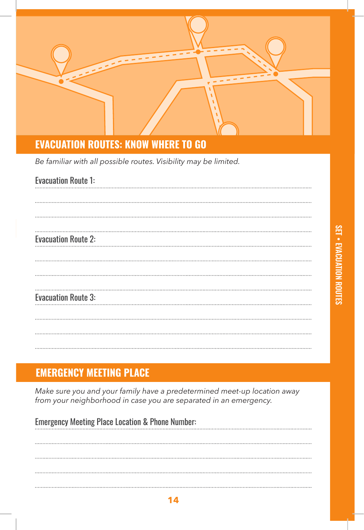

#### **EVACUATION ROUTES: KNOW WHERE TO GO**

*Be familiar with all possible routes. Visibility may be limited.*

| <b>Evacuation Route 1:</b> |
|----------------------------|
|                            |
|                            |
|                            |
| <b>Evacuation Route 2:</b> |
|                            |
|                            |
|                            |
| <b>Evacuation Route 3:</b> |
|                            |
|                            |
|                            |
|                            |

## **EMERGENCY MEETING PLACE**

*Make sure you and your family have a predetermined meet-up location away from your neighborhood in case you are separated in an emergency.*

| <b>Emergency Meeting Place Location &amp; Phone Number:</b> |  |
|-------------------------------------------------------------|--|
|                                                             |  |
|                                                             |  |
|                                                             |  |
|                                                             |  |
|                                                             |  |
|                                                             |  |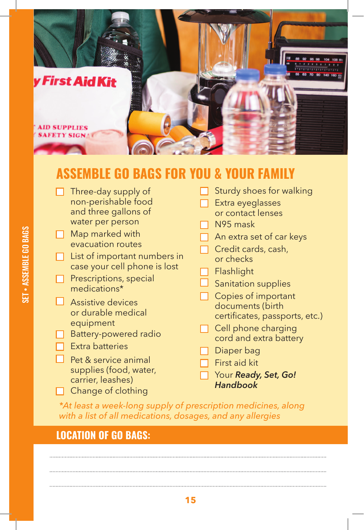

## **ASSEMBLE GO BAGS FOR YOU & YOUR FAMILY**

Three-day supply of non-perishable food and three gallons of water per person Map marked with evacuation routes  $\Box$  List of important numbers in case your cell phone is lost  $\Box$  Prescriptions, special medications\* **Assistive** devices or durable medical equipment Battery-powered radio Extra batteries Pet & service animal supplies (food, water, carrier, leashes)  $\Box$  Change of clothing Sturdy shoes for walking Extra eyeglasses or contact lenses N95 mask An extra set of car keys Credit cards, cash, or checks **Flashlight** Sanitation supplies □ Copies of important documents (birth certificates, passports, etc.) Cell phone charging cord and extra battery Diaper bag First aid kit Your *Ready, Set, Go! Handbook*

*\*At least a week-long supply of prescription medicines, along with a list of all medications, dosages, and any allergies*

#### **LOCATION OF GO BAGS:**

**15**